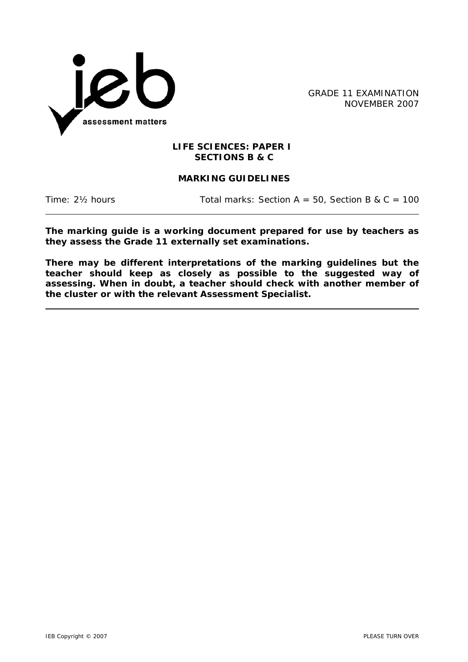

GRADE 11 EXAMINATION NOVEMBER 2007

### **LIFE SCIENCES: PAPER I SECTIONS B & C**

# **MARKING GUIDELINES**

Time:  $2\frac{1}{2}$  hours Total marks: Section A = 50, Section B & C = 100

**The marking guide is a working document prepared for use by teachers as they assess the Grade 11 externally set examinations.** 

**There may be different interpretations of the marking guidelines but the teacher should keep as closely as possible to the suggested way of assessing. When in doubt, a teacher should check with another member of the cluster or with the relevant Assessment Specialist.**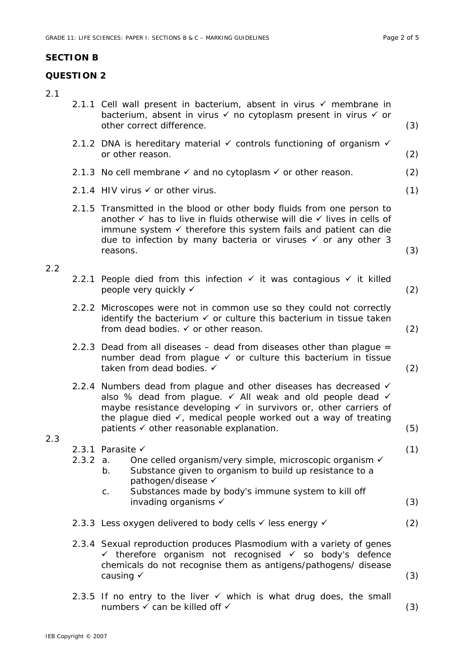## **SECTION B**

## **QUESTION 2**

# 2.1

| Z.I |          | 2.1.1 Cell wall present in bacterium, absent in virus $\checkmark$ membrane in<br>bacterium, absent in virus v no cytoplasm present in virus v or<br>other correct difference.                                                                                                                                                    | (3) |
|-----|----------|-----------------------------------------------------------------------------------------------------------------------------------------------------------------------------------------------------------------------------------------------------------------------------------------------------------------------------------|-----|
|     |          | 2.1.2 DNA is hereditary material $\checkmark$ controls functioning of organism $\checkmark$<br>or other reason.                                                                                                                                                                                                                   | (2) |
|     |          | 2.1.3 No cell membrane $\checkmark$ and no cytoplasm $\checkmark$ or other reason.                                                                                                                                                                                                                                                | (2) |
|     |          | 2.1.4 HIV virus $\checkmark$ or other virus.                                                                                                                                                                                                                                                                                      | (1) |
|     |          | 2.1.5 Transmitted in the blood or other body fluids from one person to<br>another $\checkmark$ has to live in fluids otherwise will die $\checkmark$ lives in cells of<br>immune system $\checkmark$ therefore this system fails and patient can die<br>due to infection by many bacteria or viruses v or any other 3<br>reasons. | (3) |
| 2.2 |          |                                                                                                                                                                                                                                                                                                                                   |     |
|     |          | 2.2.1 People died from this infection $\checkmark$ it was contagious $\checkmark$ it killed<br>people very quickly √                                                                                                                                                                                                              | (2) |
|     |          | 2.2.2 Microscopes were not in common use so they could not correctly<br>identify the bacterium $\checkmark$ or culture this bacterium in tissue taken<br>from dead bodies. ✓ or other reason.                                                                                                                                     | (2) |
|     |          | 2.2.3 Dead from all diseases - dead from diseases other than plague =<br>number dead from plague v or culture this bacterium in tissue<br>taken from dead bodies. √                                                                                                                                                               | (2) |
|     |          | 2.2.4 Numbers dead from plague and other diseases has decreased √<br>also % dead from plague. v All weak and old people dead v<br>maybe resistance developing v in survivors or, other carriers of<br>the plague died $\checkmark$ , medical people worked out a way of treating<br>patients √ other reasonable explanation.      | (5) |
| 2.3 | 2.3.2 a. | 2.3.1 Parasite $\checkmark$<br>One celled organism/very simple, microscopic organism √<br>Substance given to organism to build up resistance to a<br>b.                                                                                                                                                                           | (1) |
|     |          | pathogen/disease √<br>Substances made by body's immune system to kill off<br>C.<br>invading organisms $\checkmark$                                                                                                                                                                                                                | (3) |
|     |          | 2.3.3 Less oxygen delivered to body cells v less energy v                                                                                                                                                                                                                                                                         | (2) |
|     |          | 2.3.4 Sexual reproduction produces Plasmodium with a variety of genes<br>$\checkmark$ therefore organism not recognised $\checkmark$ so body's defence<br>chemicals do not recognise them as antigens/pathogens/ disease<br>causing $\checkmark$                                                                                  | (3) |
|     |          | 2.3.5 If no entry to the liver $\checkmark$ which is what drug does, the small<br>numbers √ can be killed off √                                                                                                                                                                                                                   | (3) |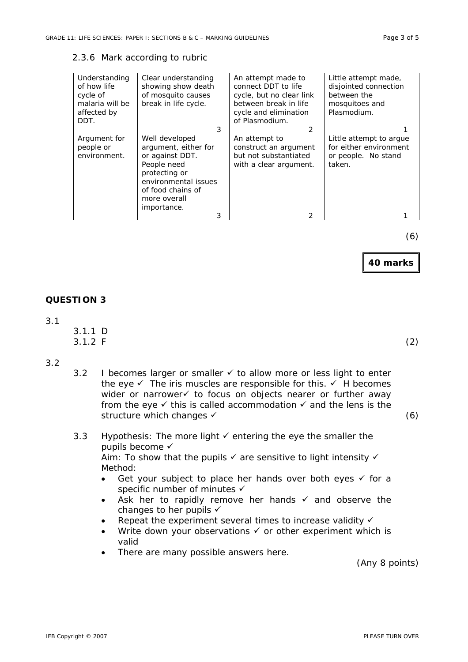#### 2.3.6 Mark according to rubric

| Understanding<br>of how life<br>cycle of<br>malaria will be<br>affected by<br>DDT. | Clear understanding<br>showing show death<br>of mosquito causes<br>break in life cycle.<br>3                                                                               | An attempt made to<br>connect DDT to life<br>cycle, but no clear link<br>between break in life<br>cycle and elimination<br>of Plasmodium.<br>$\mathcal{P}$ | Little attempt made,<br>disjointed connection<br>between the<br>mosquitoes and<br>Plasmodium. |
|------------------------------------------------------------------------------------|----------------------------------------------------------------------------------------------------------------------------------------------------------------------------|------------------------------------------------------------------------------------------------------------------------------------------------------------|-----------------------------------------------------------------------------------------------|
| Argument for<br>people or<br>environment.                                          | Well developed<br>argument, either for<br>or against DDT.<br>People need<br>protecting or<br>environmental issues<br>of food chains of<br>more overall<br>importance.<br>3 | An attempt to<br>construct an argument<br>but not substantiated<br>with a clear argument.                                                                  | Little attempt to argue<br>for either environment<br>or people. No stand<br>taken.            |

(6)

**40 marks**

### **QUESTION 3**

#### 3.1

 3.1.1 D  $3.1.2 \text{ F}$  (2)

#### 3.2

3.2 I becomes larger or smaller  $\checkmark$  to allow more or less light to enter the eye  $\checkmark$  The iris muscles are responsible for this.  $\checkmark$  H becomes wider or narrower to focus on objects nearer or further away from the eye  $\checkmark$  this is called accommodation  $\checkmark$  and the lens is the structure which changes  $\checkmark$  (6)

### 3.3 Hypothesis: The more light  $\checkmark$  entering the eye the smaller the pupils become  $\checkmark$ Aim: To show that the pupils  $\checkmark$  are sensitive to light intensity  $\checkmark$ Method:

- Get your subject to place her hands over both eyes  $\checkmark$  for a specific number of minutes  $\checkmark$
- Ask her to rapidly remove her hands  $\checkmark$  and observe the changes to her pupils  $\checkmark$
- Repeat the experiment several times to increase validity  $\checkmark$
- Write down your observations  $\checkmark$  or other experiment which is valid
- There are many possible answers here.

(Any 8 points)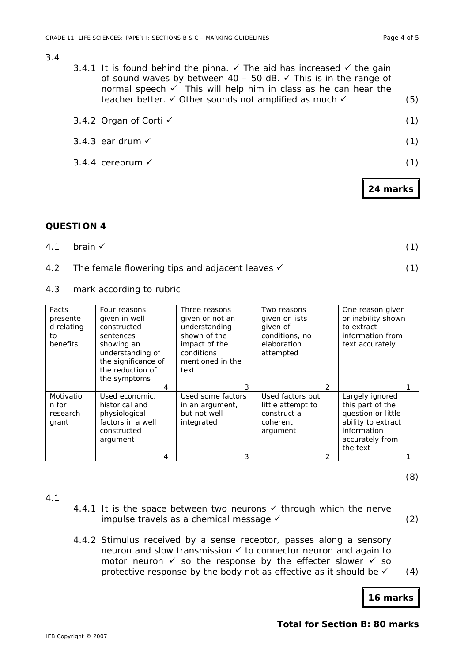**24 marks**

#### 3.4

3.4.1 It is found behind the pinna.  $\checkmark$  The aid has increased  $\checkmark$  the gain of sound waves by between  $40 - 50$  dB.  $\checkmark$  This is in the range of normal speech  $\checkmark$  This will help him in class as he can hear the teacher better.  $\checkmark$  Other sounds not amplified as much  $\checkmark$  (5)

| 3.4.2 Organ of Corti ✓      |     |
|-----------------------------|-----|
| 3.4.3 ear drum $\checkmark$ | (1) |
| 3.4.4 cerebrum $\checkmark$ | (1) |
|                             |     |

### **QUESTION 4**

| 4.1 brain $\checkmark$ | (1) |
|------------------------|-----|
|                        |     |

- 4.2 The female flowering tips and adjacent leaves  $\checkmark$  (1)
- 4.3 mark according to rubric

| Facts<br>presente<br>d relating<br>to<br>benefits | Four reasons<br>given in well<br>constructed<br>sentences<br>showing an<br>understanding of<br>the significance of<br>the reduction of | Three reasons<br>given or not an<br>understanding<br>shown of the<br>impact of the<br>conditions<br>mentioned in the<br>text | Two reasons<br>given or lists<br>given of<br>conditions, no<br>elaboration<br>attempted | One reason given<br>or inability shown<br>to extract<br>information from<br>text accurately                                   |
|---------------------------------------------------|----------------------------------------------------------------------------------------------------------------------------------------|------------------------------------------------------------------------------------------------------------------------------|-----------------------------------------------------------------------------------------|-------------------------------------------------------------------------------------------------------------------------------|
|                                                   | the symptoms<br>4                                                                                                                      | 3                                                                                                                            | 2                                                                                       |                                                                                                                               |
| Motivatio<br>n for<br>research<br>grant           | Used economic,<br>historical and<br>physiological<br>factors in a well<br>constructed<br>argument                                      | Used some factors<br>in an argument,<br>but not well<br>integrated                                                           | Used factors but<br>little attempt to<br>construct a<br>coherent<br>argument            | Largely ignored<br>this part of the<br>question or little<br>ability to extract<br>information<br>accurately from<br>the text |
|                                                   | 4                                                                                                                                      | 3                                                                                                                            | 2                                                                                       |                                                                                                                               |

(8)

### 4.1

- 4.4.1 It is the space between two neurons  $\checkmark$  through which the nerve impulse travels as a chemical message  $\checkmark$  (2)
- 4.4.2 Stimulus received by a sense receptor, passes along a sensory neuron and slow transmission  $\checkmark$  to connector neuron and again to motor neuron  $\checkmark$  so the response by the effecter slower  $\checkmark$  so protective response by the body not as effective as it should be  $\checkmark$  (4)

**16 marks**